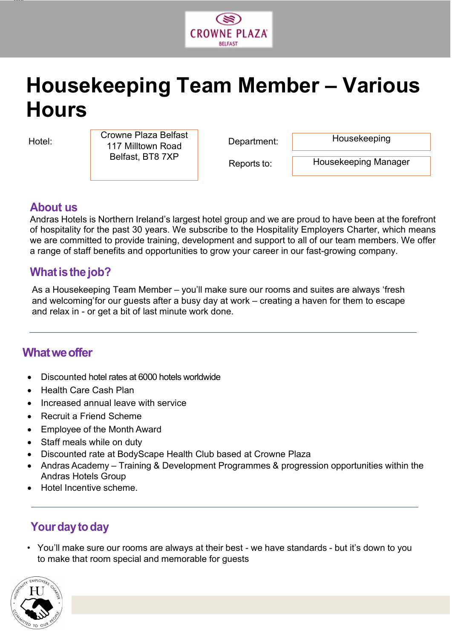

# Housekeeping Team Member – Various **Hours**

jjjjjj

Hotel: **Department:** 117 Milltown Road **Department:** Crowne Plaza Belfast<br>
Department: Housekeeping Belfast, BT8 7XP

Reports to:

Housekeeping Manager

### About us

Andras Hotels is Northern Ireland's largest hotel group and we are proud to have been at the forefront of hospitality for the past 30 years. We subscribe to the Hospitality Employers Charter, which means we are committed to provide training, development and support to all of our team members. We offer a range of staff benefits and opportunities to grow your career in our fast-growing company.

# What is the job?

As a Housekeeping Team Member – you'll make sure our rooms and suites are always 'fresh and welcoming' for our guests after a busy day at work – creating a haven for them to escape and relax in - or get a bit of last minute work done.

## What we offer

- Discounted hotel rates at 6000 hotels worldwide
- Health Care Cash Plan
- Increased annual leave with service
- Recruit a Friend Scheme
- Employee of the Month Award
- Staff meals while on duty
- Discounted rate at BodyScape Health Club based at Crowne Plaza
- Andras Academy Training & Development Programmes & progression opportunities within the Andras Hotels Group
- Hotel Incentive scheme.

# Your day to day

• You'll make sure our rooms are always at their best - we have standards - but it's down to you to make that room special and memorable for guests

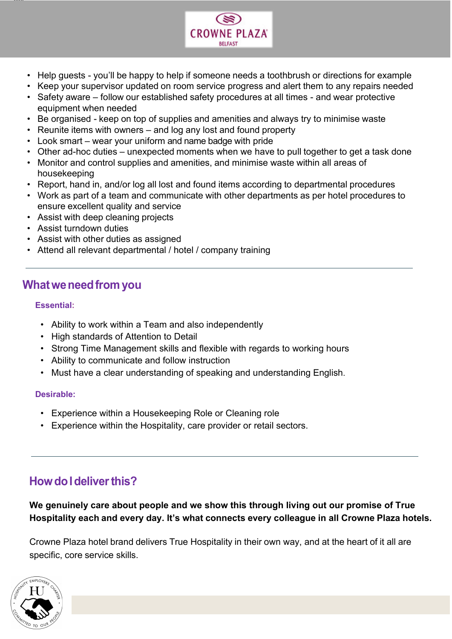

- Help guests you'll be happy to help if someone needs a toothbrush or directions for example
- Keep your supervisor updated on room service progress and alert them to any repairs needed
- Safety aware follow our established safety procedures at all times and wear protective equipment when needed
- Be organised keep on top of supplies and amenities and always try to minimise waste
- Reunite items with owners and log any lost and found property
- Look smart wear your uniform and name badge with pride
- Other ad-hoc duties unexpected moments when we have to pull together to get a task done
- Monitor and control supplies and amenities, and minimise waste within all areas of housekeeping
- Report, hand in, and/or log all lost and found items according to departmental procedures
- Work as part of a team and communicate with other departments as per hotel procedures to ensure excellent quality and service
- Assist with deep cleaning projects
- Assist turndown duties
- Assist with other duties as assigned
- Attend all relevant departmental / hotel / company training

## What we need from you

#### Essential:

jjjjjj

- Ability to work within a Team and also independently
- High standards of Attention to Detail
- Strong Time Management skills and flexible with regards to working hours
- Ability to communicate and follow instruction
- Must have a clear understanding of speaking and understanding English.

#### Desirable:

- Experience within a Housekeeping Role or Cleaning role
- Experience within the Hospitality, care provider or retail sectors.

# How do I deliver this?

We genuinely care about people and we show this through living out our promise of True Hospitality each and every day. It's what connects every colleague in all Crowne Plaza hotels.

Crowne Plaza hotel brand delivers True Hospitality in their own way, and at the heart of it all are specific, core service skills.